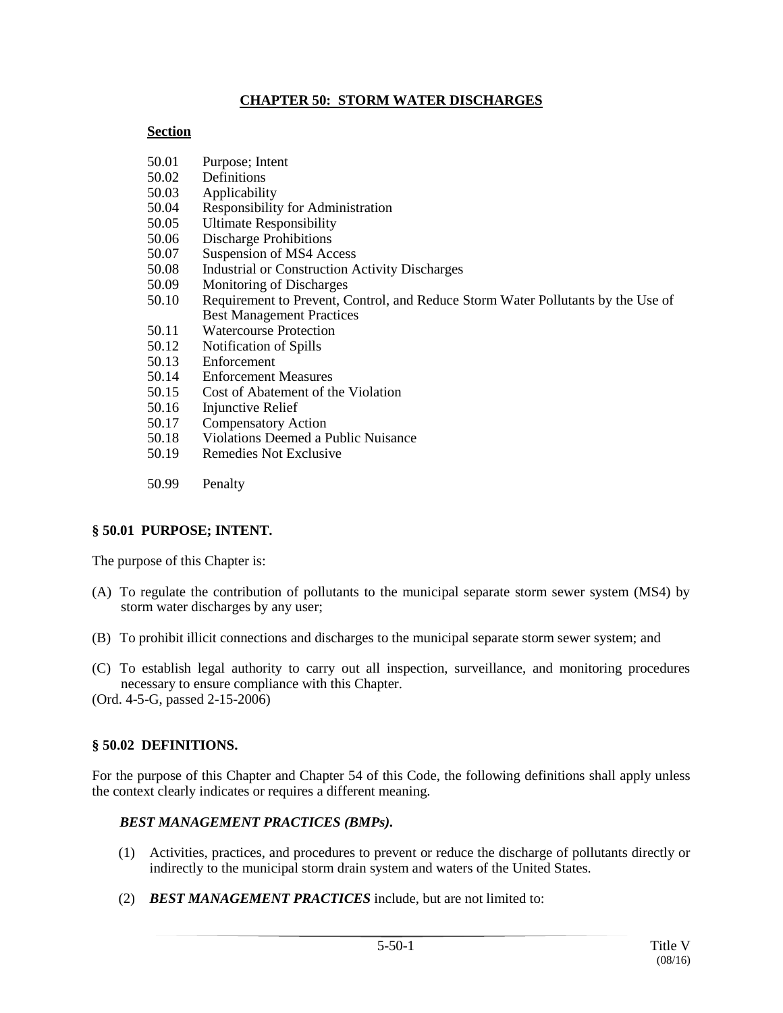# **CHAPTER 50: STORM WATER DISCHARGES**

#### **Section**

- 50.01 Purpose; Intent
- 50.02 Definitions
- 50.03 Applicability
- 50.04 Responsibility for Administration
- 50.05 Ultimate Responsibility
- 50.06 Discharge Prohibitions
- 50.07 Suspension of MS4 Access
- 50.08 Industrial or Construction Activity Discharges
- 50.09 Monitoring of Discharges
- 50.10 Requirement to Prevent, Control, and Reduce Storm Water Pollutants by the Use of Best Management Practices
- 50.11 Watercourse Protection
- 50.12 Notification of Spills
- 50.13 Enforcement
- 50.14 Enforcement Measures
- 50.15 Cost of Abatement of the Violation
- 50.16 Injunctive Relief
- 50.17 Compensatory Action
- 50.18 Violations Deemed a Public Nuisance
- 50.19 Remedies Not Exclusive
- 50.99 Penalty

## **§ 50.01 PURPOSE; INTENT.**

The purpose of this Chapter is:

- (A) To regulate the contribution of pollutants to the municipal separate storm sewer system (MS4) by storm water discharges by any user;
- (B) To prohibit illicit connections and discharges to the municipal separate storm sewer system; and
- (C) To establish legal authority to carry out all inspection, surveillance, and monitoring procedures necessary to ensure compliance with this Chapter.
- (Ord. 4-5-G, passed 2-15-2006)

# **§ 50.02 DEFINITIONS.**

For the purpose of this Chapter and Chapter 54 of this Code, the following definitions shall apply unless the context clearly indicates or requires a different meaning.

# *BEST MANAGEMENT PRACTICES (BMPs).*

- (1) Activities, practices, and procedures to prevent or reduce the discharge of pollutants directly or indirectly to the municipal storm drain system and waters of the United States.
- (2) *BEST MANAGEMENT PRACTICES* include, but are not limited to: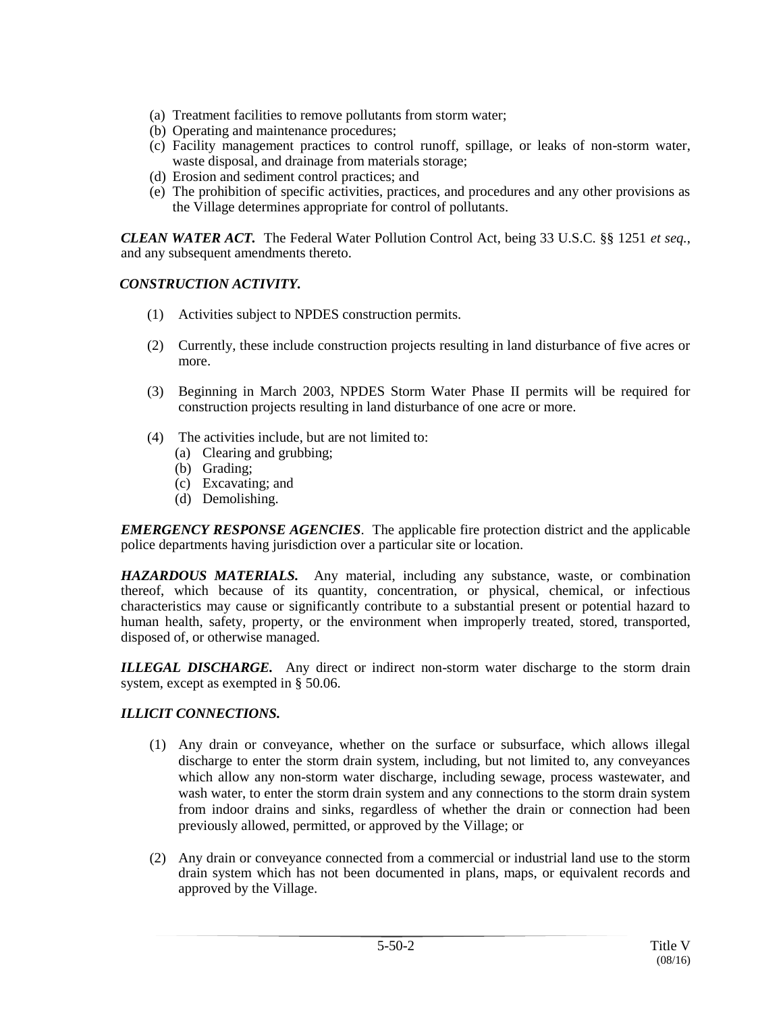- (a) Treatment facilities to remove pollutants from storm water;
- (b) Operating and maintenance procedures;
- (c) Facility management practices to control runoff, spillage, or leaks of non-storm water, waste disposal, and drainage from materials storage;
- (d) Erosion and sediment control practices; and
- (e) The prohibition of specific activities, practices, and procedures and any other provisions as the Village determines appropriate for control of pollutants.

*CLEAN WATER ACT.* The Federal Water Pollution Control Act, being 33 U.S.C. §§ 1251 *et seq.*, and any subsequent amendments thereto.

## *CONSTRUCTION ACTIVITY.*

- (1) Activities subject to NPDES construction permits.
- (2) Currently, these include construction projects resulting in land disturbance of five acres or more.
- (3) Beginning in March 2003, NPDES Storm Water Phase II permits will be required for construction projects resulting in land disturbance of one acre or more.
- (4) The activities include, but are not limited to:
	- (a) Clearing and grubbing;
	- (b) Grading;
	- (c) Excavating; and
	- (d) Demolishing.

*EMERGENCY RESPONSE AGENCIES*. The applicable fire protection district and the applicable police departments having jurisdiction over a particular site or location.

*HAZARDOUS MATERIALS.* Any material, including any substance, waste, or combination thereof, which because of its quantity, concentration, or physical, chemical, or infectious characteristics may cause or significantly contribute to a substantial present or potential hazard to human health, safety, property, or the environment when improperly treated, stored, transported, disposed of, or otherwise managed.

**ILLEGAL DISCHARGE.** Any direct or indirect non-storm water discharge to the storm drain system, except as exempted in § 50.06.

## *ILLICIT CONNECTIONS.*

- (1) Any drain or conveyance, whether on the surface or subsurface, which allows illegal discharge to enter the storm drain system, including, but not limited to, any conveyances which allow any non-storm water discharge, including sewage, process wastewater, and wash water, to enter the storm drain system and any connections to the storm drain system from indoor drains and sinks, regardless of whether the drain or connection had been previously allowed, permitted, or approved by the Village; or
- (2) Any drain or conveyance connected from a commercial or industrial land use to the storm drain system which has not been documented in plans, maps, or equivalent records and approved by the Village.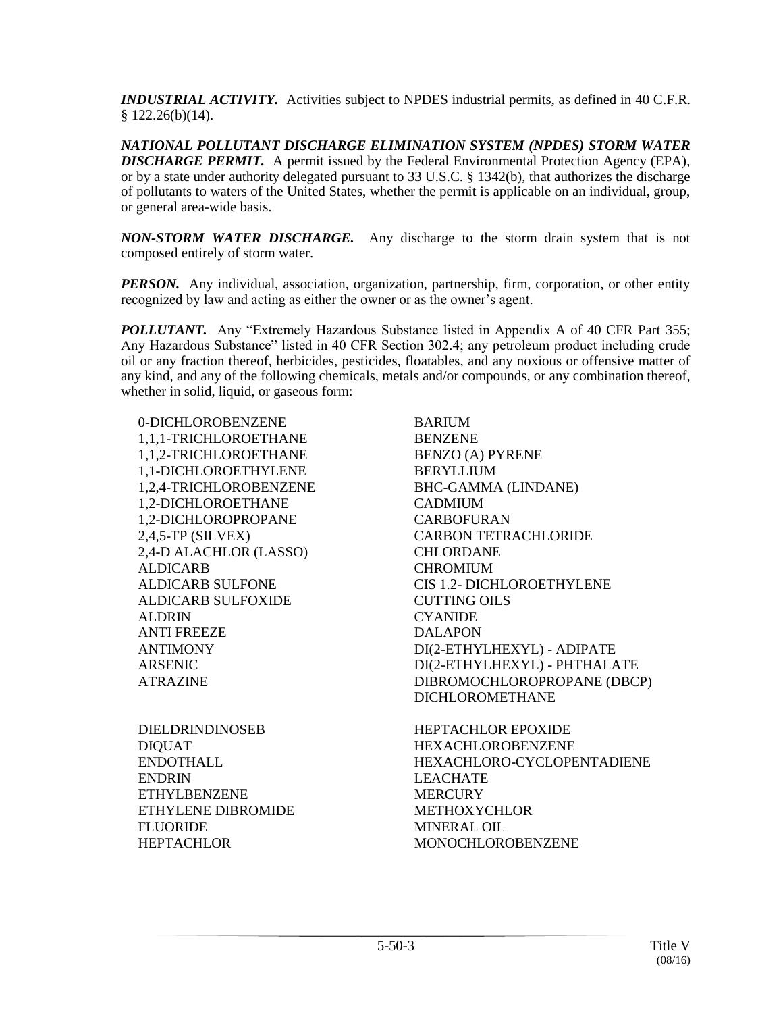*INDUSTRIAL ACTIVITY.* Activities subject to NPDES industrial permits, as defined in 40 C.F.R.  $$122.26(b)(14).$ 

*NATIONAL POLLUTANT DISCHARGE ELIMINATION SYSTEM (NPDES) STORM WATER DISCHARGE PERMIT.* A permit issued by the Federal Environmental Protection Agency (EPA), or by a state under authority delegated pursuant to 33 U.S.C. § 1342(b), that authorizes the discharge of pollutants to waters of the United States, whether the permit is applicable on an individual, group, or general area-wide basis.

*NON-STORM WATER DISCHARGE.* Any discharge to the storm drain system that is not composed entirely of storm water.

*PERSON.* Any individual, association, organization, partnership, firm, corporation, or other entity recognized by law and acting as either the owner or as the owner's agent.

*POLLUTANT.* Any "Extremely Hazardous Substance listed in Appendix A of 40 CFR Part 355; Any Hazardous Substance" listed in 40 CFR Section 302.4; any petroleum product including crude oil or any fraction thereof, herbicides, pesticides, floatables, and any noxious or offensive matter of any kind, and any of the following chemicals, metals and/or compounds, or any combination thereof, whether in solid, liquid, or gaseous form:

0-DICHLOROBENZENE BARIUM 1,1,1-TRICHLOROETHANE BENZENE 1,1,2-TRICHLOROETHANE BENZO (A) PYRENE 1,1-DICHLOROETHYLENE BERYLLIUM 1,2,4-TRICHLOROBENZENE BHC-GAMMA (LINDANE) 1,2-DICHLOROETHANE CADMIUM 1,2-DICHLOROPROPANE CARBOFURAN 2,4-D ALACHLOR (LASSO) CHLORDANE ALDICARB CHROMIUM ALDICARB SULFOXIDE CUTTING OILS ALDRIN CYANIDE ANTI FREEZE DALAPON

DIELDRINDINOSEB HEPTACHLOR EPOXIDE ENDRIN LEACHATE ETHYLBENZENE MERCURY ETHYLENE DIBROMIDE METHOXYCHLOR FLUORIDE MINERAL OIL

2,4,5-TP (SILVEX) CARBON TETRACHLORIDE ALDICARB SULFONE CIS 1.2- DICHLOROETHYLENE ANTIMONY DI(2-ETHYLHEXYL) - ADIPATE ARSENIC DI(2-ETHYLHEXYL) - PHTHALATE ATRAZINE DIBROMOCHLOROPROPANE (DBCP) DICHLOROMETHANE

DIQUAT HEXACHLOROBENZENE ENDOTHALL HEXACHLORO-CYCLOPENTADIENE HEPTACHLOR MONOCHLOROBENZENE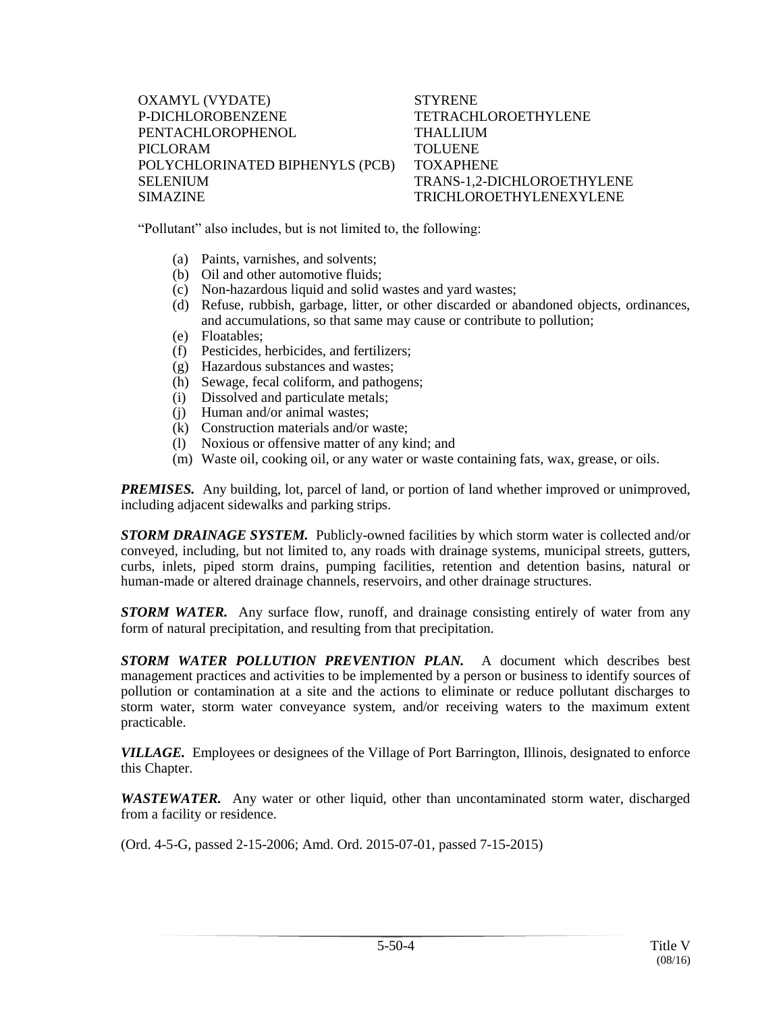| OXAMYL (VYDATE)                 |
|---------------------------------|
| P-DICHLOROBENZENE               |
| <b>PENTACHLOROPHENOL</b>        |
| PICLORAM                        |
| POLYCHLORINATED BIPHENYLS (PCB) |
| <b>SELENIUM</b>                 |
| <b>SIMAZINE</b>                 |

STYRENE TETRACHLOROETHYLENE THALLIUM **TOLUENE TOXAPHENE** TRANS-1,2-DICHLOROETHYLENE TRICHLOROETHYLENEXYLENE

"Pollutant" also includes, but is not limited to, the following:

- (a) Paints, varnishes, and solvents;
- (b) Oil and other automotive fluids;
- (c) Non-hazardous liquid and solid wastes and yard wastes;
- (d) Refuse, rubbish, garbage, litter, or other discarded or abandoned objects, ordinances, and accumulations, so that same may cause or contribute to pollution;
- (e) Floatables;
- (f) Pesticides, herbicides, and fertilizers;
- (g) Hazardous substances and wastes;
- (h) Sewage, fecal coliform, and pathogens;
- (i) Dissolved and particulate metals;
- (j) Human and/or animal wastes;
- (k) Construction materials and/or waste;
- (l) Noxious or offensive matter of any kind; and
- (m) Waste oil, cooking oil, or any water or waste containing fats, wax, grease, or oils.

**PREMISES.** Any building, lot, parcel of land, or portion of land whether improved or unimproved, including adjacent sidewalks and parking strips.

*STORM DRAINAGE SYSTEM.* Publicly-owned facilities by which storm water is collected and/or conveyed, including, but not limited to, any roads with drainage systems, municipal streets, gutters, curbs, inlets, piped storm drains, pumping facilities, retention and detention basins, natural or human-made or altered drainage channels, reservoirs, and other drainage structures.

*STORM WATER.* Any surface flow, runoff, and drainage consisting entirely of water from any form of natural precipitation, and resulting from that precipitation.

*STORM WATER POLLUTION PREVENTION PLAN.* A document which describes best management practices and activities to be implemented by a person or business to identify sources of pollution or contamination at a site and the actions to eliminate or reduce pollutant discharges to storm water, storm water conveyance system, and/or receiving waters to the maximum extent practicable.

*VILLAGE.* Employees or designees of the Village of Port Barrington, Illinois, designated to enforce this Chapter.

*WASTEWATER.* Any water or other liquid, other than uncontaminated storm water, discharged from a facility or residence.

(Ord. 4-5-G, passed 2-15-2006; Amd. Ord. 2015-07-01, passed 7-15-2015)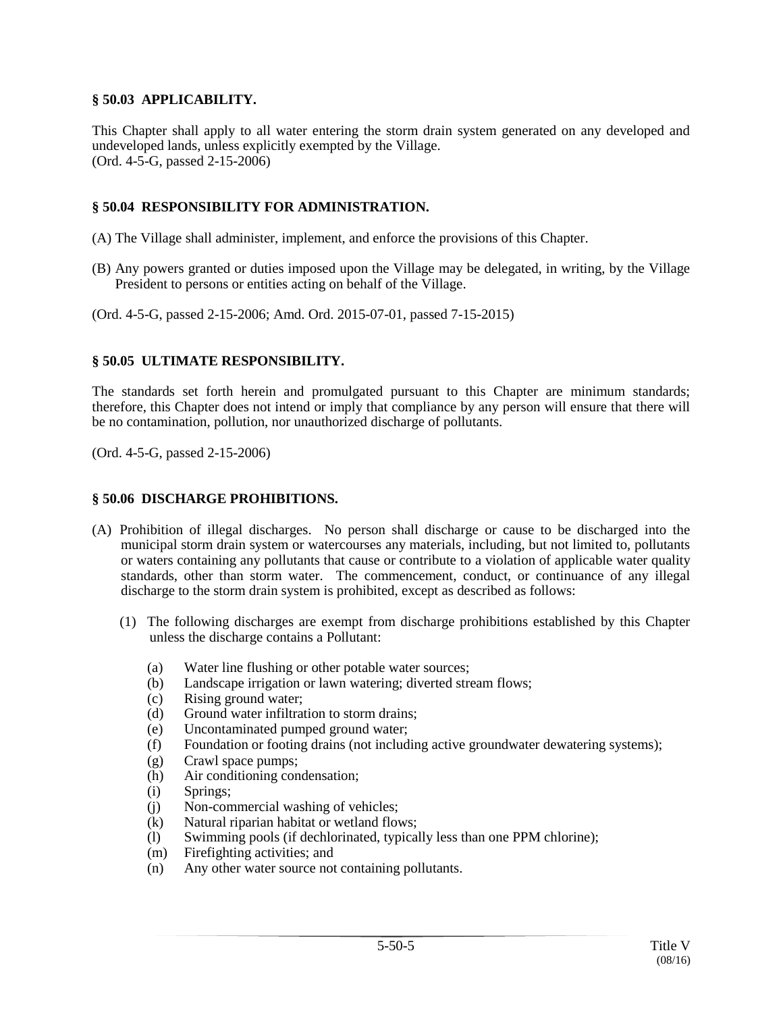#### **§ 50.03 APPLICABILITY.**

This Chapter shall apply to all water entering the storm drain system generated on any developed and undeveloped lands, unless explicitly exempted by the Village. (Ord. 4-5-G, passed 2-15-2006)

## **§ 50.04 RESPONSIBILITY FOR ADMINISTRATION.**

- (A) The Village shall administer, implement, and enforce the provisions of this Chapter.
- (B) Any powers granted or duties imposed upon the Village may be delegated, in writing, by the Village President to persons or entities acting on behalf of the Village.
- (Ord. 4-5-G, passed 2-15-2006; Amd. Ord. 2015-07-01, passed 7-15-2015)

#### **§ 50.05 ULTIMATE RESPONSIBILITY.**

The standards set forth herein and promulgated pursuant to this Chapter are minimum standards; therefore, this Chapter does not intend or imply that compliance by any person will ensure that there will be no contamination, pollution, nor unauthorized discharge of pollutants.

(Ord. 4-5-G, passed 2-15-2006)

#### **§ 50.06 DISCHARGE PROHIBITIONS.**

- (A) Prohibition of illegal discharges. No person shall discharge or cause to be discharged into the municipal storm drain system or watercourses any materials, including, but not limited to, pollutants or waters containing any pollutants that cause or contribute to a violation of applicable water quality standards, other than storm water. The commencement, conduct, or continuance of any illegal discharge to the storm drain system is prohibited, except as described as follows:
	- (1) The following discharges are exempt from discharge prohibitions established by this Chapter unless the discharge contains a Pollutant:
		- (a) Water line flushing or other potable water sources;
		- (b) Landscape irrigation or lawn watering; diverted stream flows;
		- (c) Rising ground water;
		- (d) Ground water infiltration to storm drains;
		- (e) Uncontaminated pumped ground water;
		- (f) Foundation or footing drains (not including active groundwater dewatering systems);
		- (g) Crawl space pumps;
		- (h) Air conditioning condensation;
		- (i) Springs;
		- (j) Non-commercial washing of vehicles;
		- (k) Natural riparian habitat or wetland flows;
		- (l) Swimming pools (if dechlorinated, typically less than one PPM chlorine);
		- (m) Firefighting activities; and
		- (n) Any other water source not containing pollutants.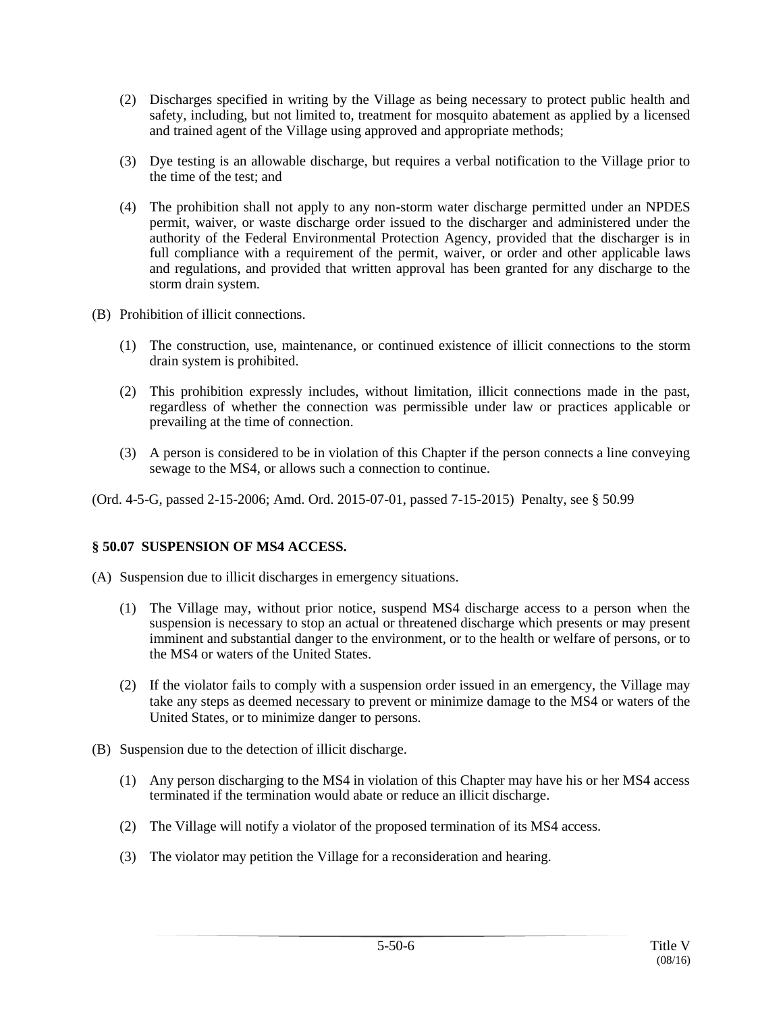- (2) Discharges specified in writing by the Village as being necessary to protect public health and safety, including, but not limited to, treatment for mosquito abatement as applied by a licensed and trained agent of the Village using approved and appropriate methods;
- (3) Dye testing is an allowable discharge, but requires a verbal notification to the Village prior to the time of the test; and
- (4) The prohibition shall not apply to any non-storm water discharge permitted under an NPDES permit, waiver, or waste discharge order issued to the discharger and administered under the authority of the Federal Environmental Protection Agency, provided that the discharger is in full compliance with a requirement of the permit, waiver, or order and other applicable laws and regulations, and provided that written approval has been granted for any discharge to the storm drain system.
- (B) Prohibition of illicit connections.
	- (1) The construction, use, maintenance, or continued existence of illicit connections to the storm drain system is prohibited.
	- (2) This prohibition expressly includes, without limitation, illicit connections made in the past, regardless of whether the connection was permissible under law or practices applicable or prevailing at the time of connection.
	- (3) A person is considered to be in violation of this Chapter if the person connects a line conveying sewage to the MS4, or allows such a connection to continue.

(Ord. 4-5-G, passed 2-15-2006; Amd. Ord. 2015-07-01, passed 7-15-2015) Penalty, see § 50.99

## **§ 50.07 SUSPENSION OF MS4 ACCESS.**

- (A) Suspension due to illicit discharges in emergency situations.
	- (1) The Village may, without prior notice, suspend MS4 discharge access to a person when the suspension is necessary to stop an actual or threatened discharge which presents or may present imminent and substantial danger to the environment, or to the health or welfare of persons, or to the MS4 or waters of the United States.
	- (2) If the violator fails to comply with a suspension order issued in an emergency, the Village may take any steps as deemed necessary to prevent or minimize damage to the MS4 or waters of the United States, or to minimize danger to persons.
- (B) Suspension due to the detection of illicit discharge.
	- (1) Any person discharging to the MS4 in violation of this Chapter may have his or her MS4 access terminated if the termination would abate or reduce an illicit discharge.
	- (2) The Village will notify a violator of the proposed termination of its MS4 access.
	- (3) The violator may petition the Village for a reconsideration and hearing.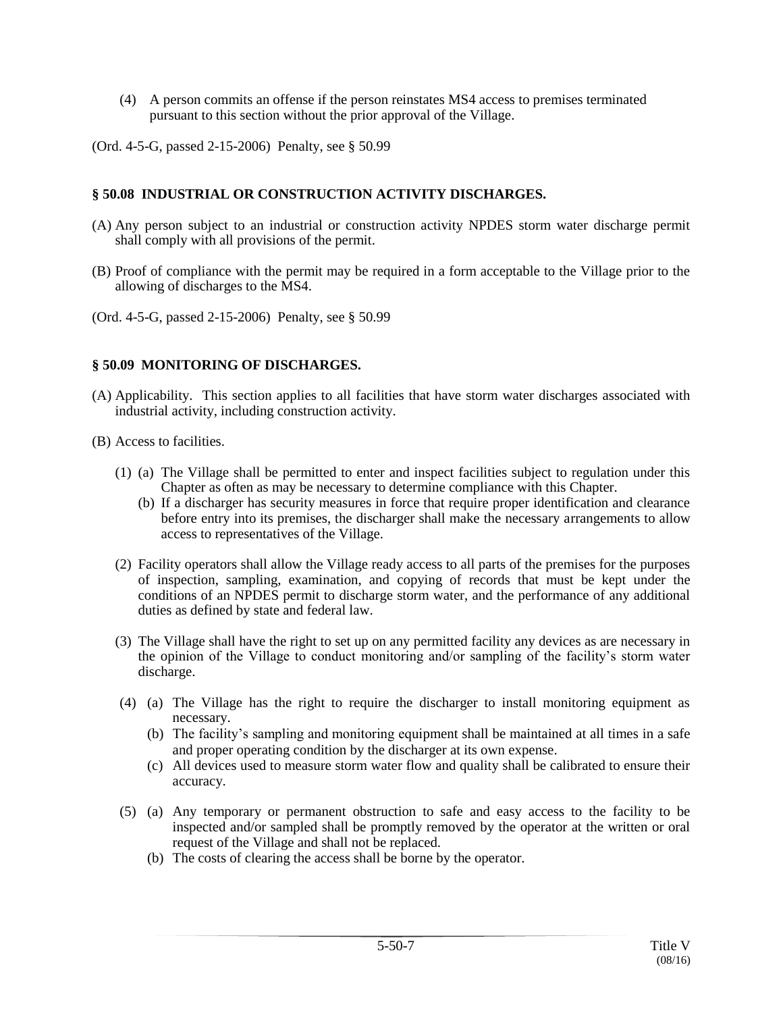- (4) A person commits an offense if the person reinstates MS4 access to premises terminated pursuant to this section without the prior approval of the Village.
- (Ord. 4-5-G, passed 2-15-2006) Penalty, see § 50.99

# **§ 50.08 INDUSTRIAL OR CONSTRUCTION ACTIVITY DISCHARGES.**

- (A) Any person subject to an industrial or construction activity NPDES storm water discharge permit shall comply with all provisions of the permit.
- (B) Proof of compliance with the permit may be required in a form acceptable to the Village prior to the allowing of discharges to the MS4.
- (Ord. 4-5-G, passed 2-15-2006) Penalty, see § 50.99

## **§ 50.09 MONITORING OF DISCHARGES.**

- (A) Applicability. This section applies to all facilities that have storm water discharges associated with industrial activity, including construction activity.
- (B) Access to facilities.
	- (1) (a) The Village shall be permitted to enter and inspect facilities subject to regulation under this Chapter as often as may be necessary to determine compliance with this Chapter.
		- (b) If a discharger has security measures in force that require proper identification and clearance before entry into its premises, the discharger shall make the necessary arrangements to allow access to representatives of the Village.
	- (2) Facility operators shall allow the Village ready access to all parts of the premises for the purposes of inspection, sampling, examination, and copying of records that must be kept under the conditions of an NPDES permit to discharge storm water, and the performance of any additional duties as defined by state and federal law.
	- (3) The Village shall have the right to set up on any permitted facility any devices as are necessary in the opinion of the Village to conduct monitoring and/or sampling of the facility's storm water discharge.
	- (4) (a) The Village has the right to require the discharger to install monitoring equipment as necessary.
		- (b) The facility's sampling and monitoring equipment shall be maintained at all times in a safe and proper operating condition by the discharger at its own expense.
		- (c) All devices used to measure storm water flow and quality shall be calibrated to ensure their accuracy.
	- (5) (a) Any temporary or permanent obstruction to safe and easy access to the facility to be inspected and/or sampled shall be promptly removed by the operator at the written or oral request of the Village and shall not be replaced.
		- (b) The costs of clearing the access shall be borne by the operator.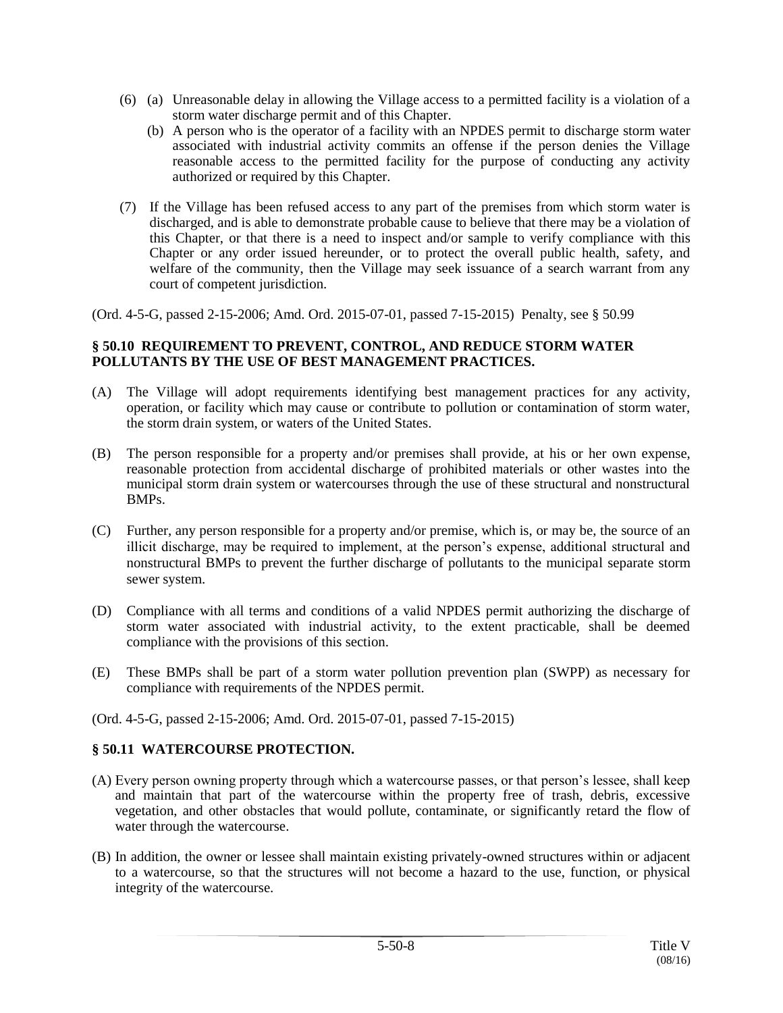- (6) (a) Unreasonable delay in allowing the Village access to a permitted facility is a violation of a storm water discharge permit and of this Chapter.
	- (b) A person who is the operator of a facility with an NPDES permit to discharge storm water associated with industrial activity commits an offense if the person denies the Village reasonable access to the permitted facility for the purpose of conducting any activity authorized or required by this Chapter.
- (7) If the Village has been refused access to any part of the premises from which storm water is discharged, and is able to demonstrate probable cause to believe that there may be a violation of this Chapter, or that there is a need to inspect and/or sample to verify compliance with this Chapter or any order issued hereunder, or to protect the overall public health, safety, and welfare of the community, then the Village may seek issuance of a search warrant from any court of competent jurisdiction.

(Ord. 4-5-G, passed 2-15-2006; Amd. Ord. 2015-07-01, passed 7-15-2015) Penalty, see § 50.99

#### **§ 50.10 REQUIREMENT TO PREVENT, CONTROL, AND REDUCE STORM WATER POLLUTANTS BY THE USE OF BEST MANAGEMENT PRACTICES.**

- (A) The Village will adopt requirements identifying best management practices for any activity, operation, or facility which may cause or contribute to pollution or contamination of storm water, the storm drain system, or waters of the United States.
- (B) The person responsible for a property and/or premises shall provide, at his or her own expense, reasonable protection from accidental discharge of prohibited materials or other wastes into the municipal storm drain system or watercourses through the use of these structural and nonstructural BMPs.
- (C) Further, any person responsible for a property and/or premise, which is, or may be, the source of an illicit discharge, may be required to implement, at the person's expense, additional structural and nonstructural BMPs to prevent the further discharge of pollutants to the municipal separate storm sewer system.
- (D) Compliance with all terms and conditions of a valid NPDES permit authorizing the discharge of storm water associated with industrial activity, to the extent practicable, shall be deemed compliance with the provisions of this section.
- (E) These BMPs shall be part of a storm water pollution prevention plan (SWPP) as necessary for compliance with requirements of the NPDES permit.
- (Ord. 4-5-G, passed 2-15-2006; Amd. Ord. 2015-07-01, passed 7-15-2015)

## **§ 50.11 WATERCOURSE PROTECTION.**

- (A) Every person owning property through which a watercourse passes, or that person's lessee, shall keep and maintain that part of the watercourse within the property free of trash, debris, excessive vegetation, and other obstacles that would pollute, contaminate, or significantly retard the flow of water through the watercourse.
- (B) In addition, the owner or lessee shall maintain existing privately-owned structures within or adjacent to a watercourse, so that the structures will not become a hazard to the use, function, or physical integrity of the watercourse.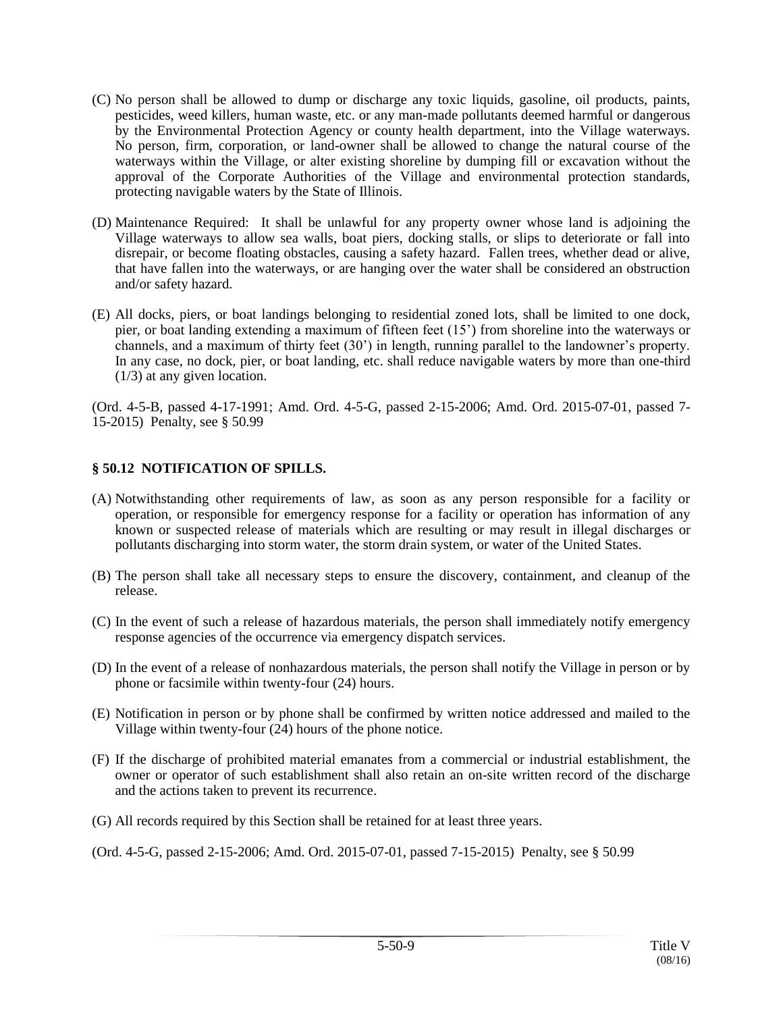- (C) No person shall be allowed to dump or discharge any toxic liquids, gasoline, oil products, paints, pesticides, weed killers, human waste, etc. or any man-made pollutants deemed harmful or dangerous by the Environmental Protection Agency or county health department, into the Village waterways. No person, firm, corporation, or land-owner shall be allowed to change the natural course of the waterways within the Village, or alter existing shoreline by dumping fill or excavation without the approval of the Corporate Authorities of the Village and environmental protection standards, protecting navigable waters by the State of Illinois.
- (D) Maintenance Required: It shall be unlawful for any property owner whose land is adjoining the Village waterways to allow sea walls, boat piers, docking stalls, or slips to deteriorate or fall into disrepair, or become floating obstacles, causing a safety hazard. Fallen trees, whether dead or alive, that have fallen into the waterways, or are hanging over the water shall be considered an obstruction and/or safety hazard.
- (E) All docks, piers, or boat landings belonging to residential zoned lots, shall be limited to one dock, pier, or boat landing extending a maximum of fifteen feet (15') from shoreline into the waterways or channels, and a maximum of thirty feet (30') in length, running parallel to the landowner's property. In any case, no dock, pier, or boat landing, etc. shall reduce navigable waters by more than one-third (1/3) at any given location.

(Ord. 4-5-B, passed 4-17-1991; Amd. Ord. 4-5-G, passed 2-15-2006; Amd. Ord. 2015-07-01, passed 7- 15-2015) Penalty, see § 50.99

# **§ 50.12 NOTIFICATION OF SPILLS.**

- (A) Notwithstanding other requirements of law, as soon as any person responsible for a facility or operation, or responsible for emergency response for a facility or operation has information of any known or suspected release of materials which are resulting or may result in illegal discharges or pollutants discharging into storm water, the storm drain system, or water of the United States.
- (B) The person shall take all necessary steps to ensure the discovery, containment, and cleanup of the release.
- (C) In the event of such a release of hazardous materials, the person shall immediately notify emergency response agencies of the occurrence via emergency dispatch services.
- (D) In the event of a release of nonhazardous materials, the person shall notify the Village in person or by phone or facsimile within twenty-four (24) hours.
- (E) Notification in person or by phone shall be confirmed by written notice addressed and mailed to the Village within twenty-four (24) hours of the phone notice.
- (F) If the discharge of prohibited material emanates from a commercial or industrial establishment, the owner or operator of such establishment shall also retain an on-site written record of the discharge and the actions taken to prevent its recurrence.
- (G) All records required by this Section shall be retained for at least three years.
- (Ord. 4-5-G, passed 2-15-2006; Amd. Ord. 2015-07-01, passed 7-15-2015) Penalty, see § 50.99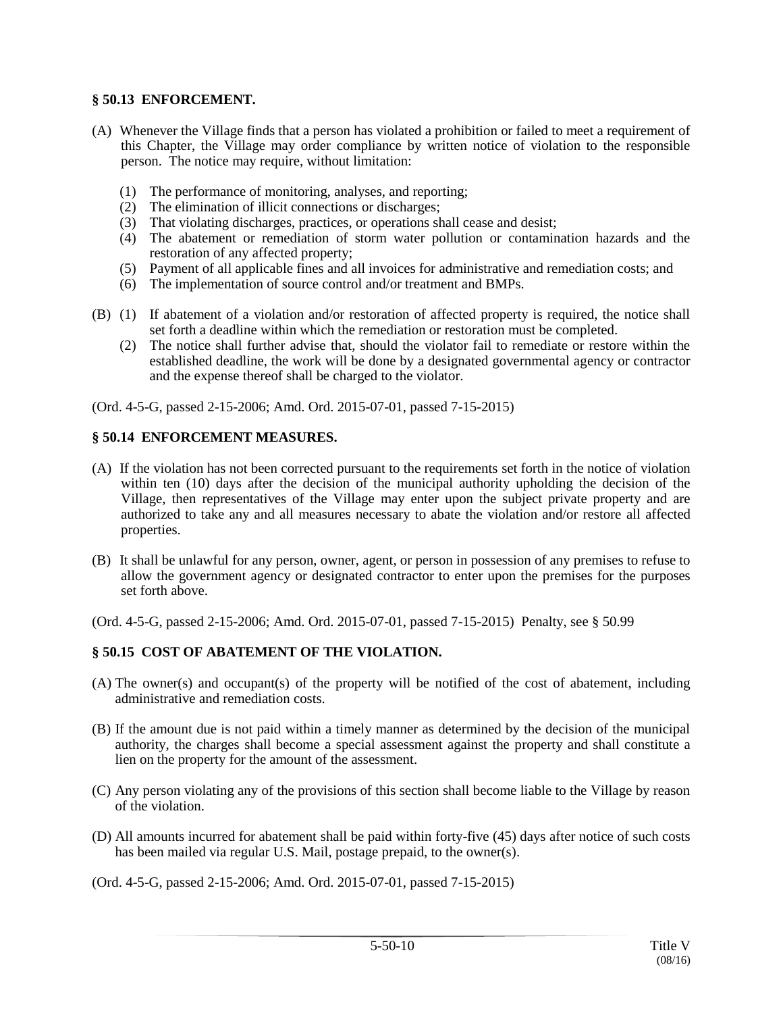# **§ 50.13 ENFORCEMENT.**

- (A) Whenever the Village finds that a person has violated a prohibition or failed to meet a requirement of this Chapter, the Village may order compliance by written notice of violation to the responsible person. The notice may require, without limitation:
	- (1) The performance of monitoring, analyses, and reporting;
	- (2) The elimination of illicit connections or discharges;
	- (3) That violating discharges, practices, or operations shall cease and desist;
	- (4) The abatement or remediation of storm water pollution or contamination hazards and the restoration of any affected property;
	- (5) Payment of all applicable fines and all invoices for administrative and remediation costs; and
	- (6) The implementation of source control and/or treatment and BMPs.
- (B) (1) If abatement of a violation and/or restoration of affected property is required, the notice shall set forth a deadline within which the remediation or restoration must be completed.
	- (2) The notice shall further advise that, should the violator fail to remediate or restore within the established deadline, the work will be done by a designated governmental agency or contractor and the expense thereof shall be charged to the violator.

(Ord. 4-5-G, passed 2-15-2006; Amd. Ord. 2015-07-01, passed 7-15-2015)

#### **§ 50.14 ENFORCEMENT MEASURES.**

- (A) If the violation has not been corrected pursuant to the requirements set forth in the notice of violation within ten (10) days after the decision of the municipal authority upholding the decision of the Village, then representatives of the Village may enter upon the subject private property and are authorized to take any and all measures necessary to abate the violation and/or restore all affected properties.
- (B) It shall be unlawful for any person, owner, agent, or person in possession of any premises to refuse to allow the government agency or designated contractor to enter upon the premises for the purposes set forth above.

(Ord. 4-5-G, passed 2-15-2006; Amd. Ord. 2015-07-01, passed 7-15-2015) Penalty, see § 50.99

## **§ 50.15 COST OF ABATEMENT OF THE VIOLATION.**

- (A) The owner(s) and occupant(s) of the property will be notified of the cost of abatement, including administrative and remediation costs.
- (B) If the amount due is not paid within a timely manner as determined by the decision of the municipal authority, the charges shall become a special assessment against the property and shall constitute a lien on the property for the amount of the assessment.
- (C) Any person violating any of the provisions of this section shall become liable to the Village by reason of the violation.
- (D) All amounts incurred for abatement shall be paid within forty-five (45) days after notice of such costs has been mailed via regular U.S. Mail, postage prepaid, to the owner(s).

(Ord. 4-5-G, passed 2-15-2006; Amd. Ord. 2015-07-01, passed 7-15-2015)